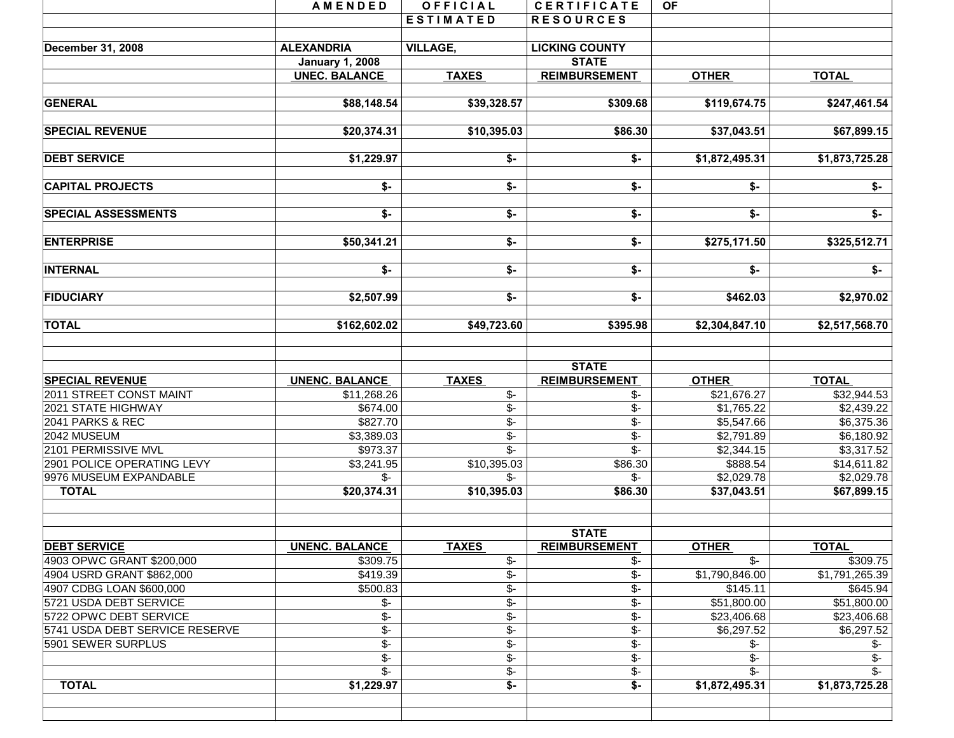|                                | AMENDED                    | OFFICIAL                  | <b>CERTIFICATE</b>          | <b>OF</b>                  |                         |
|--------------------------------|----------------------------|---------------------------|-----------------------------|----------------------------|-------------------------|
|                                |                            | <b>ESTIMATED</b>          | <b>RESOURCES</b>            |                            |                         |
|                                |                            |                           |                             |                            |                         |
| December 31, 2008              | <b>ALEXANDRIA</b>          | <b>VILLAGE,</b>           | <b>LICKING COUNTY</b>       |                            |                         |
|                                | <b>January 1, 2008</b>     |                           | <b>STATE</b>                |                            |                         |
|                                | <b>UNEC. BALANCE</b>       | <b>TAXES</b>              | <b>REIMBURSEMENT</b>        | <b>OTHER</b>               | <b>TOTAL</b>            |
| <b>GENERAL</b>                 | \$88,148.54                | \$39,328.57               | \$309.68                    | \$119,674.75               | \$247,461.54            |
| <b>SPECIAL REVENUE</b>         | \$20,374.31                | \$10,395.03               | \$86.30                     | \$37,043.51                | \$67,899.15             |
| <b>DEBT SERVICE</b>            | \$1,229.97                 | $$-$                      | $$-$                        | \$1,872,495.31             | \$1,873,725.28          |
| <b>CAPITAL PROJECTS</b>        | \$-                        | \$-                       | \$-                         | \$-                        | $\overline{\mathsf{S}}$ |
| <b>SPECIAL ASSESSMENTS</b>     | \$-                        | \$-                       | \$-                         | \$-                        | \$-                     |
| <b>ENTERPRISE</b>              | \$50,341.21                | \$-                       | $\overline{\$}$ -           | \$275,171.50               | \$325,512.71            |
| <b>INTERNAL</b>                | \$-                        | $\overline{\bullet}$      | $\overline{\mathbf{S}}$     | \$-                        | $\overline{\ast}$       |
| <b>FIDUCIARY</b>               | \$2,507.99                 | $\overline{\mathsf{S}}$ - | \$-                         | \$462.03                   | \$2,970.02              |
| <b>TOTAL</b>                   | \$162,602.02               | $\overline{$49,723.60}$   | \$395.98                    | \$2,304,847.10             | \$2,517,568.70          |
|                                |                            |                           | <b>STATE</b>                |                            |                         |
| <b>SPECIAL REVENUE</b>         | <b>UNENC. BALANCE</b>      | <b>TAXES</b>              | <b>REIMBURSEMENT</b>        | <b>OTHER</b>               | <b>TOTAL</b>            |
| 2011 STREET CONST MAINT        | \$11,268.26                | \$-                       | \$-                         | \$21,676.27                | \$32,944.53             |
| 2021 STATE HIGHWAY             | \$674.00                   | $\overline{\$}$ -         | $\overline{\$}$ -           | \$1,765.22                 | \$2,439.22              |
| 2041 PARKS & REC               | \$827.70                   | $\overline{\mathcal{L}}$  | $\overline{\$}$ -           | \$5,547.66                 | \$6,375.36              |
| 2042 MUSEUM                    | \$3,389.03                 | $\overline{\mathcal{F}}$  | $\overline{\$}$ -           | \$2,791.89                 | \$6,180.92              |
| 2101 PERMISSIVE MVL            | \$973.37                   | $\overline{\mathbb{S}^-}$ | $\overline{\mathcal{S}}$ -  | \$2,344.15                 | \$3,317.52              |
| 2901 POLICE OPERATING LEVY     | \$3,241.95                 | \$10,395.03               | \$86.30                     | \$888.54                   | \$14,611.82             |
| 9976 MUSEUM EXPANDABLE         | $\mathcal{S}$ -            | $\mathcal{S}$ -           | \$-                         | \$2,029.78                 | \$2,029.78              |
| <b>TOTAL</b>                   | \$20,374.31                | \$10,395.03               | \$86.30                     | \$37,043.51                | \$67,899.15             |
|                                |                            |                           | <b>STATE</b>                |                            |                         |
| <b>DEBT SERVICE</b>            | <b>UNENC. BALANCE</b>      | <b>TAXES</b>              | <b>REIMBURSEMENT</b>        | <b>OTHER</b>               | <b>TOTAL</b>            |
| 4903 OPWC GRANT \$200,000      | \$309.75                   | \$-                       | \$-                         | $\overline{\mathcal{S}}$ - | \$309.75                |
| 4904 USRD GRANT \$862,000      | \$419.39                   | \$-                       | \$-                         | \$1,790,846.00             | \$1,791,265.39          |
| 4907 CDBG LOAN \$600,000       | \$500.83                   | $\overline{\$}$ -         | $\overline{\$}$             | \$145.11                   | \$645.94                |
| 5721 USDA DEBT SERVICE         | $\frac{2}{3}$              | $\overline{\$}$ -         | $\overline{\$}$ -           | \$51,800.00                | \$51,800.00             |
| 5722 OPWC DEBT SERVICE         | $\overline{\$}$ -          | $$-$                      | $\overline{\$}$ -           | \$23,406.68                | \$23,406.68             |
| 5741 USDA DEBT SERVICE RESERVE | $\overline{\mathcal{F}}$   | $$-$                      | \$-                         | \$6,297.52                 | \$6,297.52              |
| 5901 SEWER SURPLUS             | $\overline{\mathcal{F}}$   | \$-                       | \$-                         | \$-                        | \$-                     |
|                                | $\overline{\$}$ -          | $\overline{\$}$ -         | $\overline{\mathcal{F}}$    | $\mathcal{S}$ -            | \$-                     |
|                                | $\overline{\mathcal{S}}$ - | $\overline{\$}$ -         | $\overline{\$}$ -           | \$-                        | \$-                     |
| <b>TOTAL</b>                   | \$1,229.97                 | $\overline{\mathsf{S}}$ - | $\overline{\mathfrak{s}}$ - | \$1,872,495.31             | \$1,873,725.28          |
|                                |                            |                           |                             |                            |                         |